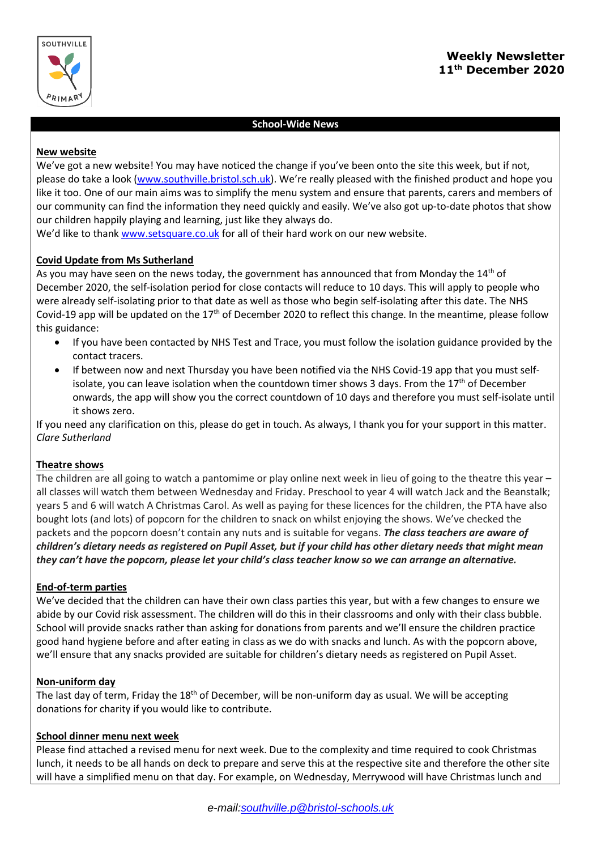

# **School-Wide News**

## **New website**

We've got a new website! You may have noticed the change if you've been onto the site this week, but if not, please do take a look [\(www.southville.bristol.sch.uk\)](http://www.southville.bristol.sch.uk/). We're really pleased with the finished product and hope you like it too. One of our main aims was to simplify the menu system and ensure that parents, carers and members of our community can find the information they need quickly and easily. We've also got up-to-date photos that show our children happily playing and learning, just like they always do.

We'd like to thank [www.setsquare.co.uk](http://www.setsquare.co.uk/) for all of their hard work on our new website.

# **Covid Update from Ms Sutherland**

As you may have seen on the news today, the government has announced that from Monday the  $14<sup>th</sup>$  of December 2020, the self-isolation period for close contacts will reduce to 10 days. This will apply to people who were already self-isolating prior to that date as well as those who begin self-isolating after this date. The NHS Covid-19 app will be updated on the  $17<sup>th</sup>$  of December 2020 to reflect this change. In the meantime, please follow this guidance:

- If you have been contacted by NHS Test and Trace, you must follow the isolation guidance provided by the contact tracers.
- If between now and next Thursday you have been notified via the NHS Covid-19 app that you must selfisolate, you can leave isolation when the countdown timer shows 3 days. From the  $17<sup>th</sup>$  of December onwards, the app will show you the correct countdown of 10 days and therefore you must self-isolate until it shows zero.

If you need any clarification on this, please do get in touch. As always, I thank you for your support in this matter. *Clare Sutherland*

# **Theatre shows**

The children are all going to watch a pantomime or play online next week in lieu of going to the theatre this year – all classes will watch them between Wednesday and Friday. Preschool to year 4 will watch Jack and the Beanstalk; years 5 and 6 will watch A Christmas Carol. As well as paying for these licences for the children, the PTA have also bought lots (and lots) of popcorn for the children to snack on whilst enjoying the shows. We've checked the packets and the popcorn doesn't contain any nuts and is suitable for vegans. *The class teachers are aware of children's dietary needs as registered on Pupil Asset, but if your child has other dietary needs that might mean they can't have the popcorn, please let your child's class teacher know so we can arrange an alternative.*

## **End-of-term parties**

We've decided that the children can have their own class parties this year, but with a few changes to ensure we abide by our Covid risk assessment. The children will do this in their classrooms and only with their class bubble. School will provide snacks rather than asking for donations from parents and we'll ensure the children practice good hand hygiene before and after eating in class as we do with snacks and lunch. As with the popcorn above, we'll ensure that any snacks provided are suitable for children's dietary needs as registered on Pupil Asset.

## **Non-uniform day**

The last day of term, Friday the 18<sup>th</sup> of December, will be non-uniform day as usual. We will be accepting donations for charity if you would like to contribute.

# **School dinner menu next week**

Please find attached a revised menu for next week. Due to the complexity and time required to cook Christmas lunch, it needs to be all hands on deck to prepare and serve this at the respective site and therefore the other site will have a simplified menu on that day. For example, on Wednesday, Merrywood will have Christmas lunch and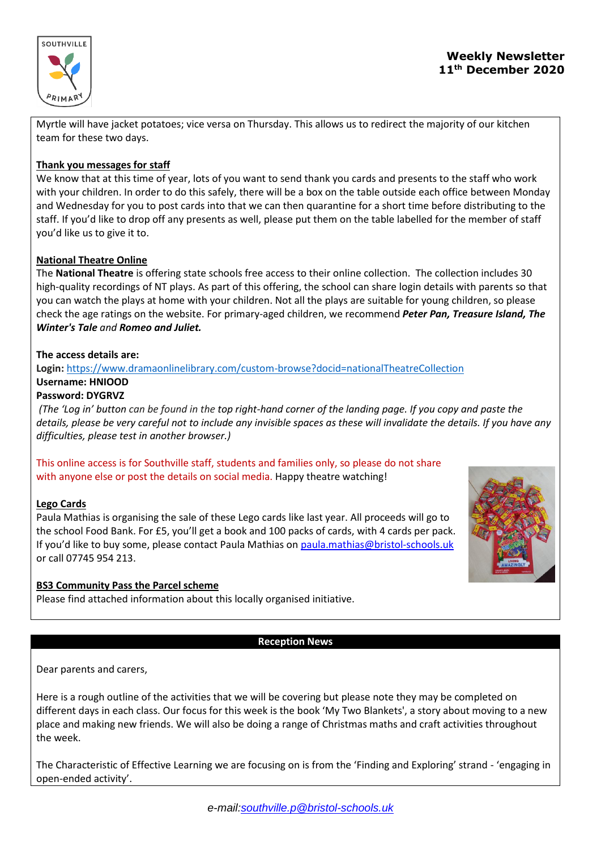

Myrtle will have jacket potatoes; vice versa on Thursday. This allows us to redirect the majority of our kitchen team for these two days.

## **Thank you messages for staff**

We know that at this time of year, lots of you want to send thank you cards and presents to the staff who work with your children. In order to do this safely, there will be a box on the table outside each office between Monday and Wednesday for you to post cards into that we can then quarantine for a short time before distributing to the staff. If you'd like to drop off any presents as well, please put them on the table labelled for the member of staff you'd like us to give it to.

## **National Theatre Online**

The **National Theatre** is offering state schools free access to their online collection. The collection includes 30 high-quality recordings of NT plays. As part of this offering, the school can share login details with parents so that you can watch the plays at home with your children. Not all the plays are suitable for young children, so please check the age ratings on the website. For primary-aged children, we recommend *Peter Pan, Treasure Island, The Winter's Tale and Romeo and Juliet.*

## **The access details are:**

**Login:** <https://www.dramaonlinelibrary.com/custom-browse?docid=nationalTheatreCollection> **Username: HNIOOD**

## **Password: DYGRVZ**

(The 'Log in' button can be found in the top right-hand corner of the landing page. If you copy and paste the details, please be very careful not to include any invisible spaces as these will invalidate the details. If you have any *difficulties, please test in another browser.)*

This online access is for Southville staff, students and families only, so please do not share with anyone else or post the details on social media. Happy theatre watching!

## **Lego Cards**

Paula Mathias is organising the sale of these Lego cards like last year. All proceeds will go to the school Food Bank. For £5, you'll get a book and 100 packs of cards, with 4 cards per pack. If you'd like to buy some, please contact Paula Mathias on [paula.mathias@bristol-schools.uk](mailto:paula.mathias@bristol-schools.uk) or call 07745 954 213.

# **BS3 Community Pass the Parcel scheme**

Please find attached information about this locally organised initiative.



## **Reception News**

Dear parents and carers,

Here is a rough outline of the activities that we will be covering but please note they may be completed on different days in each class. Our focus for this week is the book 'My Two Blankets', a story about moving to a new place and making new friends. We will also be doing a range of Christmas maths and craft activities throughout the week.

The Characteristic of Effective Learning we are focusing on is from the 'Finding and Exploring' strand - 'engaging in open-ended activity'.

*e-mail[:southville.p@bristol-schools.uk](mailto:southville.p@bristol-schools.uk)*